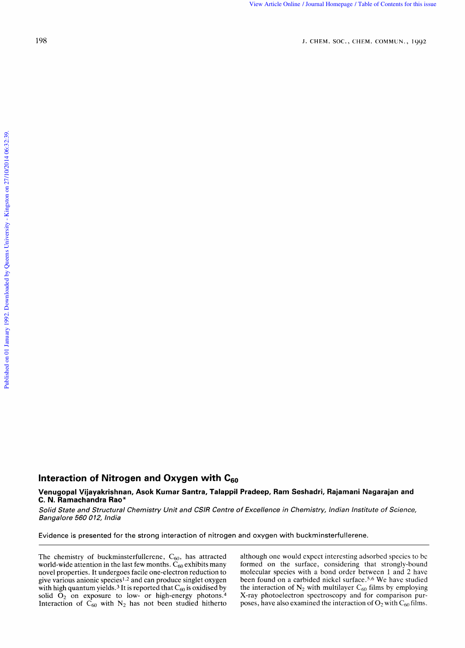## **Interaction of Nitrogen and Oxygen with C<sub>60</sub>**

## **Venugopal Vijayakrishnan, Asok Kumar Santra, Talappil Pradeep, Ram Seshadri, Rajamani Nagarajan and C. N. Ramachandra Rao\***  action of Nitrogen and Oxygen with C<sub>60</sub><br>gopal Vijayakrishnan, Asok Kumar Santra, Talappil Pradeep, Ram Seshadri, Rajamani Nagarajan and<br>State and Structural Chemistry Unit and CSIR Centre of Excellence in Chemistry, India **of Nitrogen and Oxygen with C<sub>60</sub><br>ayakrishnan, Asok Kumar Santra, Talappil Pradeep, Ram Seshadri, Rajamani Nagarajan and<br>India Rao\*<br>***Structural Chemistry Unit and CSIR Centre of Excellence in Chemistry, Indian Institute o* **gen and Oxygen with C<sub>60</sub><br>an, Asok Kumar Santra, Talappil Pradeep, Ram Seshadri, Rajamani Nagarajan and komputation of nitrogen and oxygen with buckminsterfullerene.<br>The strong interaction of nitrogen and oxygen with buc**

Solid State and Structural Chemistry Unit and CSIR Centre of Excellence in Chemistry, Indian Institute of Science, Bangalore 560 Solid State and Structural Chemistry Unit and CSIR Centre of Excellence in Chemistry, Indian Institute of Science,<br> *Bangalore 560 012, India*<br>
Evidence is presented for the strong interaction of nitrogen and oxygen with b

Evidence is presented for

world-wide attention in the last few months.  $\ddot{C}_{60}$  exhibits many formed on the surface, considering that strongly-bound novel properties. It undergoes facile one-electron reduction to molecular species with a bond or novel properties. It undergoes facile one-electron reduction to molecular species with a bond order between 1 and 2 have give various anionic species<sup>1,2</sup> and can produce singlet oxygen been found on a carbided nickel surf give various anionic species<sup>1,2</sup> and can produce singlet oxygen with high quantum yields.<sup>3</sup> It is reported that  $C_{60}$  is oxidised by the interaction of N<sub>2</sub> with multilayer  $C_{60}$  films by employing solid  $O_2$  on exposure to low- or high-energy photons.<sup>4</sup> X-ray photoelectron spe solid  $\dot{O}_2$  on exposure to low- or high-energy photons.<sup>4</sup> X-ray photoelectron spectroscopy and for comparison pur-<br>Interaction of  $C_{60}$  with  $N_2$  has not been studied hitherto poses, have also examined the interact

The chemistry of buckminsterfullerene,  $C_{60}$ , has attracted although one would expect interesting adsorbed species to be world-wide attention in the last few months.  $C_{60}$  exhibits many formed on the surface, consider